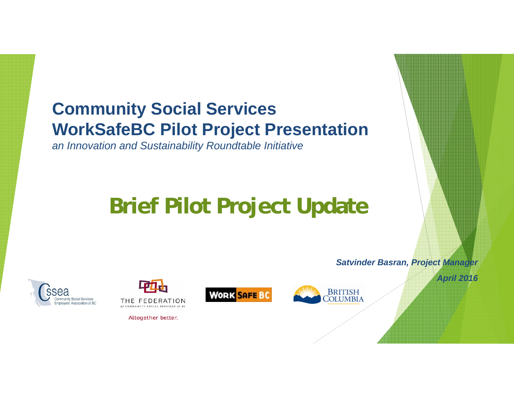## **Community Social Services WorkSafeBC Pilot Project Presentation**

*an Innovation and Sustainability Roundtable Initiative*

# **Brief Pilot Project Update**





Altogether better.





*Satvinder Basran, Project Manager*

*April 2016*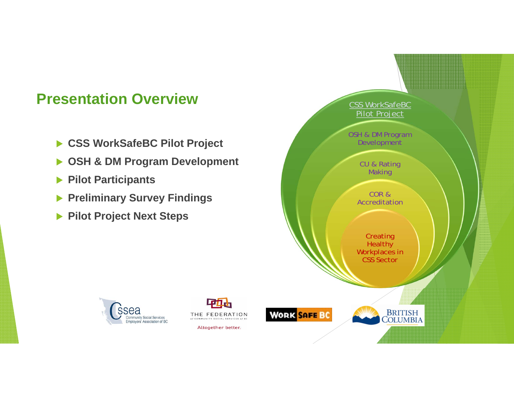#### **Presentation Overview**

- **CSS WorkSafeBC Pilot Project**
- $\blacktriangleright$ **OSH & DM Program Development**
- $\blacktriangleright$ **Pilot Participants**
- **Preliminary Survey Findings**
- **Pilot Project Next Steps**





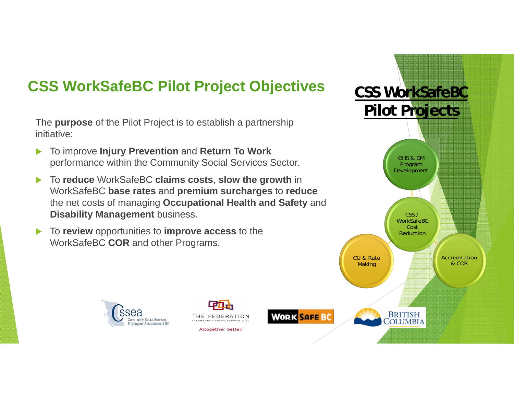#### **CSS WorkSafeBC Pilot Project Objectives**

The **purpose** of the Pilot Project is to establish a partnership initiative:

- $\blacktriangleright$  To improve **Injury Prevention** and **Return To Work**  performance within the Community Social Services Sector.
- $\blacktriangleright$  To **reduce** WorkSafeBC **claims costs**, **slow the growth** in WorkSafeBC **base rates** and **premium surcharges** to **reduce** the net costs of managing **Occupational Health and Safety** and **Disability Management** business.

THE FEDERATION

OF COMMILMITY SOCIAL SERVICES OF RE

Altogether better.

 $\blacktriangleright$  To **review** opportunities to **improve access** to the WorkSafeBC **COR** and other Programs.

**Community Social Services** 

Employers' Association of BC

ssea

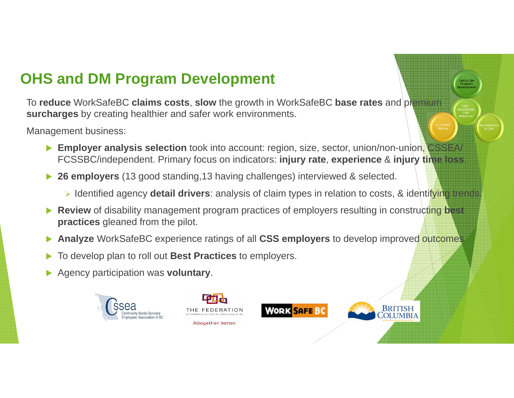#### **OHS and DM Program Development**

To **reduce** WorkSafeBC **claims costs**, **slow** the growth in WorkSafeBC **base rates** and premium **surcharges** by creating healthier and safer work environments.

Management business:

- **Employer analysis selection** took into account: region, size, sector, union/non-union, CSSEA/ FCSSBC/independent. Primary focus on indicators: **injury rate**, **experience** & **injury time loss**.
- **26 employers** (13 good standing,13 having challenges) interviewed & selected.
	- > Identified agency **detail drivers**: analysis of claim types in relation to costs, & identifying trends.

**WORK SAFE BC** 

CSS / Reduction

BRITISH<br>`OLUMBIA

& COR

OHS & DM Program Development

- ▶ Review of disability management program practices of employers resulting in constructing best **practices** gleaned from the pilot.
- $\blacktriangleright$ **Analyze** WorkSafeBC experience ratings of all **CSS employers** to develop improved outcomes.
- $\blacktriangleright$ To develop plan to roll out **Best Practices** to employers.
- $\blacktriangleright$ Agency participation was **voluntary**.



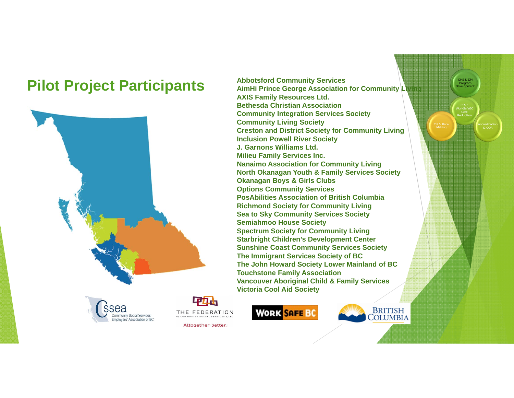### **Pilot Project Participants** Abbotsford Community Services **Provesses ADD** AimHi Prince George Association for Community Living



ssea **Community Social Services** ployers' Association of BC

中山 THE FEDERATION

Altogether better.



**AXIS Family Resources Ltd. Bethesda Christian AssociationCommunity Integration Services Society Community Living Society Creston and District Society for Community Living Inclusion Powell River Society J. Garnons Williams Ltd.Milieu Family Services Inc. Nanaimo Association for Community Living North Okanagan Youth & Family Services Society Okanagan Boys & Girls Clubs Options Community Services PosAbilities Association of British ColumbiaRichmond Society for Community Living Sea to Sky Community Services Society Semiahmoo House Society Spectrum Society for Community Living Starbright Children's Development Center Sunshine Coast Community Services Society The Immigrant Services Society of BC The John Howard Society Lower Mainland of BC Touchstone Family Association Vancouver Aboriginal Child & Family Services Victoria Cool Aid Society**



COLUMBIA

CSS / WorkSafeBC Cost Reduction

> Accreditation & COR

OHS & DM Program Development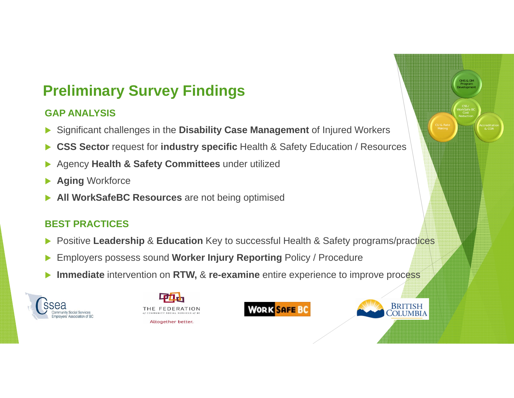### **Preliminary Survey Findings**

#### **GAP ANALYSIS**

- $\blacktriangleright$ Significant challenges in the **Disability Case Management** of Injured Workers
- $\blacktriangleright$ **CSS Sector** request for **industry specific** Health & Safety Education / Resources
- $\blacktriangleright$ Agency **Health & Safety Committees** under utilized
- $\blacktriangleright$ **Aging** Workforce
- $\blacktriangleright$ **All WorkSafeBC Resources** are not being optimised

#### **BEST PRACTICES**

- $\blacktriangleright$ Positive **Leadership** & **Education** Key to successful Health & Safety programs/practices
- $\blacktriangleright$ Employers possess sound **Worker Injury Reporting** Policy / Procedure
- $\blacktriangleright$ **Immediate** intervention on **RTW,** & **re-examine** entire experience to improve process









CSS / WorkSafe BC Reduction

CU & Rate

& COR

OHS & DM Program Development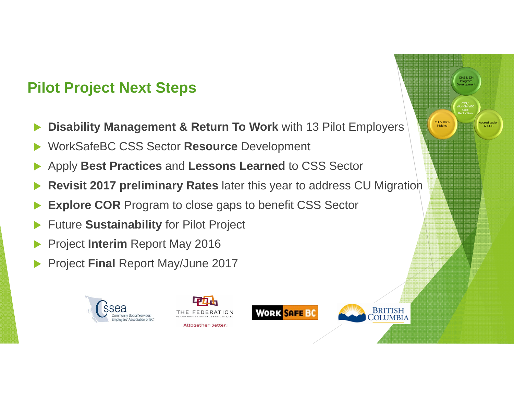### **Pilot Project Next Steps**

- $\blacktriangleright$ **Disability Management & Return To Work** with 13 Pilot Employers
- $\blacktriangleright$ WorkSafeBC CSS Sector **Resource** Development
- $\blacktriangleright$ Apply **Best Practices** and **Lessons Learned** to CSS Sector
- $\blacktriangleright$ **Revisit 2017 preliminary Rates** later this year to address CU Migration
- $\blacktriangleright$ **Explore COR** Program to close gaps to benefit CSS Sector
- $\blacktriangleright$ Future **Sustainability** for Pilot Project
- $\blacktriangleright$ Project **Interim** Report May 2016
- $\blacktriangleright$ Project **Final** Report May/June 2017





**WORK SAFE BC**